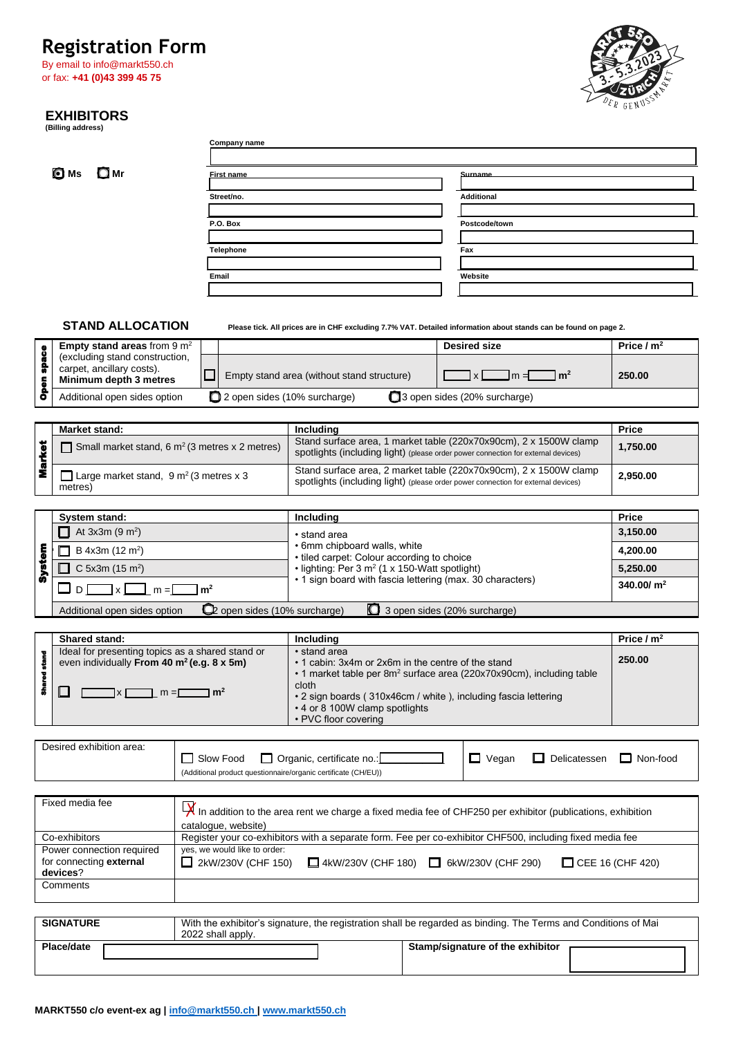# Registration Form<br>By email to info@markt550.ch



# **EXHIBITORS (Billing address)**

|                     | <b>Registration Form</b><br>By email to info@markt550.ch<br>or fax: +41 (0)43 399 45 75           |                     |                                                           |                                                                                                         |  |                                                                                                                                                        |                          |
|---------------------|---------------------------------------------------------------------------------------------------|---------------------|-----------------------------------------------------------|---------------------------------------------------------------------------------------------------------|--|--------------------------------------------------------------------------------------------------------------------------------------------------------|--------------------------|
|                     | <b>EXHIBITORS</b><br>(Billing address)                                                            |                     |                                                           |                                                                                                         |  |                                                                                                                                                        |                          |
|                     |                                                                                                   |                     | <b>Company name</b>                                       |                                                                                                         |  |                                                                                                                                                        |                          |
|                     |                                                                                                   |                     |                                                           |                                                                                                         |  |                                                                                                                                                        |                          |
|                     | <b>□</b> Mr<br>O Ms                                                                               |                     | First name                                                |                                                                                                         |  | Surname                                                                                                                                                |                          |
|                     |                                                                                                   |                     | Street/no.                                                |                                                                                                         |  | <b>Additional</b>                                                                                                                                      |                          |
|                     |                                                                                                   |                     | P.O. Box                                                  |                                                                                                         |  | Postcode/town                                                                                                                                          |                          |
|                     |                                                                                                   |                     |                                                           |                                                                                                         |  |                                                                                                                                                        |                          |
|                     |                                                                                                   |                     | <b>Telephone</b>                                          |                                                                                                         |  | Fax                                                                                                                                                    |                          |
|                     |                                                                                                   | Email               |                                                           |                                                                                                         |  | Website                                                                                                                                                |                          |
|                     |                                                                                                   |                     |                                                           |                                                                                                         |  |                                                                                                                                                        |                          |
|                     |                                                                                                   |                     |                                                           |                                                                                                         |  |                                                                                                                                                        |                          |
|                     | <b>STAND ALLOCATION</b><br><b>Empty stand areas from 9 m<sup>2</sup></b>                          |                     |                                                           |                                                                                                         |  | Please tick. All prices are in CHF excluding 7.7% VAT. Detailed information about stands can be found on page 2.<br><b>Desired size</b>                | Price $/m2$              |
|                     | (excluding stand construction,                                                                    |                     |                                                           |                                                                                                         |  |                                                                                                                                                        |                          |
| <b>Open space</b>   | carpet, ancillary costs).<br>Minimum depth 3 metres                                               | ш                   |                                                           | Empty stand area (without stand structure)                                                              |  | $\mathsf{Im}^2$<br>$\vert x \vert$<br>$m =$                                                                                                            | 250.00                   |
|                     | Additional open sides option                                                                      |                     | 2 open sides (10% surcharge)                              |                                                                                                         |  | 3 open sides (20% surcharge)                                                                                                                           |                          |
|                     | Market stand:                                                                                     |                     |                                                           | Including                                                                                               |  |                                                                                                                                                        | <b>Price</b>             |
|                     | $\Box$ Small market stand, 6 m <sup>2</sup> (3 metres x 2 metres)                                 |                     |                                                           |                                                                                                         |  | Stand surface area, 1 market table (220x70x90cm), 2 x 1500W clamp                                                                                      | 1,750.00                 |
| <b>Market</b>       | □ Large market stand, $9 \text{ m}^2$ (3 metres x 3                                               |                     |                                                           |                                                                                                         |  | spotlights (including light) (please order power connection for external devices)<br>Stand surface area, 2 market table (220x70x90cm), 2 x 1500W clamp | 2,950.00                 |
|                     | metres)                                                                                           |                     |                                                           |                                                                                                         |  | spotlights (including light) (please order power connection for external devices)                                                                      |                          |
|                     |                                                                                                   |                     |                                                           |                                                                                                         |  |                                                                                                                                                        |                          |
|                     | System stand:<br>At $3x3m (9 m2)$                                                                 |                     |                                                           | Including                                                                                               |  |                                                                                                                                                        | <b>Price</b><br>3,150.00 |
|                     | B 4x3m (12 m <sup>2</sup> )                                                                       |                     |                                                           | • stand area<br>• 6mm chipboard walls, white                                                            |  |                                                                                                                                                        | 4,200.00                 |
| System              | C 5x3m (15 m <sup>2</sup> )                                                                       |                     |                                                           | • tiled carpet: Colour according to choice<br>• lighting: Per 3 m <sup>2</sup> (1 x 150-Watt spotlight) |  |                                                                                                                                                        | 5,250.00                 |
|                     |                                                                                                   |                     |                                                           | • 1 sign board with fascia lettering (max. 30 characters)                                               |  |                                                                                                                                                        | 340.00/ $m^2$            |
|                     | $D$ $\Box$ x $\Box$ m = $\Box$                                                                    | $1 \, \mathrm{m}^2$ |                                                           |                                                                                                         |  |                                                                                                                                                        |                          |
|                     | Additional open sides option                                                                      |                     | to open sides (10% surcharge)                             |                                                                                                         |  | 3 open sides (20% surcharge)                                                                                                                           |                          |
|                     | Shared stand:                                                                                     |                     |                                                           | Including                                                                                               |  |                                                                                                                                                        | Price / $m2$             |
| <b>Shared stand</b> | Ideal for presenting topics as a shared stand or<br>even individually From 40 $m^2$ (e.g. 8 x 5m) |                     |                                                           | • stand area<br>• 1 cabin: 3x4m or 2x6m in the centre of the stand                                      |  | • 1 market table per 8m <sup>2</sup> surface area (220x70x90cm), including table                                                                       | 250.00                   |
|                     | $\blacksquare$ x $\blacksquare$ m = $\blacksquare$ m <sup>2</sup><br>ப                            |                     | cloth                                                     |                                                                                                         |  |                                                                                                                                                        |                          |
|                     |                                                                                                   |                     |                                                           | • 4 or 8 100W clamp spotlights<br>• PVC floor covering                                                  |  | • 2 sign boards (310x46cm / white), including fascia lettering                                                                                         |                          |
|                     |                                                                                                   |                     |                                                           |                                                                                                         |  |                                                                                                                                                        |                          |
|                     | Desired exhibition area:                                                                          | Slow Food           |                                                           | $\Box$ Organic, certificate no.:<br>(Additional product questionnaire/organic certificate (CH/EU))      |  | $\Box$ Vegan<br>$\Box$ Delicatessen                                                                                                                    | $\Box$ Non-food          |
|                     |                                                                                                   |                     |                                                           |                                                                                                         |  |                                                                                                                                                        |                          |
|                     | Fixed media fee                                                                                   |                     | catalogue, website)                                       |                                                                                                         |  | $\frac{1}{x}$ In addition to the area rent we charge a fixed media fee of CHF250 per exhibitor (publications, exhibition                               |                          |
|                     | Co-exhibitors                                                                                     |                     |                                                           |                                                                                                         |  | Register your co-exhibitors with a separate form. Fee per co-exhibitor CHF500, including fixed media fee                                               |                          |
|                     | Power connection required<br>for connecting external<br>devices?                                  |                     | yes, we would like to order:<br>$\Box$ 2kW/230V (CHF 150) |                                                                                                         |  | $\Box$ 4kW/230V (CHF 180) $\Box$ 6kW/230V (CHF 290)<br>$\Box$ CEE 16 (CHF 420)                                                                         |                          |
|                     | Comments                                                                                          |                     |                                                           |                                                                                                         |  |                                                                                                                                                        |                          |
|                     | <b>SIGNATURE</b>                                                                                  | 2022 shall apply.   |                                                           |                                                                                                         |  | With the exhibitor's signature, the registration shall be regarded as binding. The Terms and Conditions of Mai                                         |                          |
|                     | Place/date                                                                                        |                     |                                                           |                                                                                                         |  | Stamp/signature of the exhibitor                                                                                                                       |                          |
|                     |                                                                                                   |                     |                                                           |                                                                                                         |  |                                                                                                                                                        |                          |
|                     |                                                                                                   |                     |                                                           |                                                                                                         |  |                                                                                                                                                        |                          |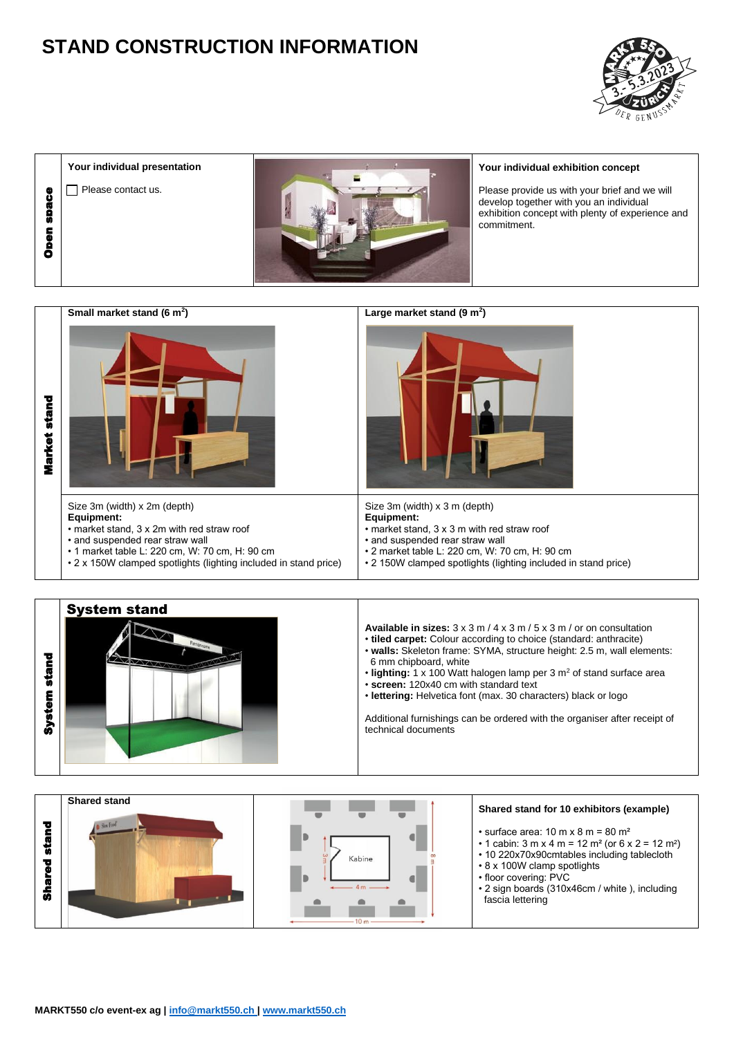# **STAND CONSTRUCTION INFORMATION**



**Your individual presentation** Please contact us.



#### **Your individual exhibition concept**

| Open space             | Please contact us.                                                                                                                                                                                                                                |                                                                                                                                                                                 | Please provide us with your brief and we will<br>develop together with you an individual<br>exhibition concept with plenty of experience and<br>commitment.                                                                                                                                                                                                                                                                                                                        |
|------------------------|---------------------------------------------------------------------------------------------------------------------------------------------------------------------------------------------------------------------------------------------------|---------------------------------------------------------------------------------------------------------------------------------------------------------------------------------|------------------------------------------------------------------------------------------------------------------------------------------------------------------------------------------------------------------------------------------------------------------------------------------------------------------------------------------------------------------------------------------------------------------------------------------------------------------------------------|
| Market stand           | Small market stand (6 m <sup>2</sup> )                                                                                                                                                                                                            | Large market stand $(9 \text{ m}^2)$                                                                                                                                            |                                                                                                                                                                                                                                                                                                                                                                                                                                                                                    |
|                        | Size 3m (width) x 2m (depth)<br>Equipment:<br>• market stand, 3 x 2m with red straw roof<br>• and suspended rear straw wall<br>• 1 market table L: 220 cm, W: 70 cm, H: 90 cm<br>• 2 x 150W clamped spotlights (lighting included in stand price) | Size 3m (width) x 3 m (depth)<br>Equipment:<br>• market stand, 3 x 3 m with red straw roof<br>• and suspended rear straw wall<br>• 2 market table L: 220 cm, W: 70 cm, H: 90 cm | • 2 150W clamped spotlights (lighting included in stand price)                                                                                                                                                                                                                                                                                                                                                                                                                     |
| <b>System stand</b>    | <b>System stand</b>                                                                                                                                                                                                                               | 6 mm chipboard, white<br>• screen: 120x40 cm with standard text<br>technical documents                                                                                          | <b>Available in sizes:</b> $3 \times 3$ m / $4 \times 3$ m / $5 \times 3$ m / or on consultation<br>• tiled carpet: Colour according to choice (standard: anthracite)<br>• walls: Skeleton frame: SYMA, structure height: 2.5 m, wall elements:<br>. lighting: 1 x 100 Watt halogen lamp per 3 m <sup>2</sup> of stand surface area<br>· lettering: Helvetica font (max. 30 characters) black or logo<br>Additional furnishings can be ordered with the organiser after receipt of |
| stand<br><b>Shared</b> | Shared stand<br>Slow Food                                                                                                                                                                                                                         | Kabine<br>10 <sub>m</sub>                                                                                                                                                       | Shared stand for 10 exhibitors (example)<br>$\cdot$ surface area: 10 m x 8 m = 80 m <sup>2</sup><br>• 1 cabin: 3 m x 4 m = 12 m <sup>2</sup> (or 6 x 2 = 12 m <sup>2</sup> )<br>• 10 220x70x90cmtables including tablecloth<br>• 8 x 100W clamp spotlights<br>• floor covering: PVC<br>• 2 sign boards (310x46cm / white ), including<br>fascia lettering                                                                                                                          |
|                        | MARKT550 c/o event-ex ag   info@markt550.ch   www.markt550.ch                                                                                                                                                                                     |                                                                                                                                                                                 |                                                                                                                                                                                                                                                                                                                                                                                                                                                                                    |



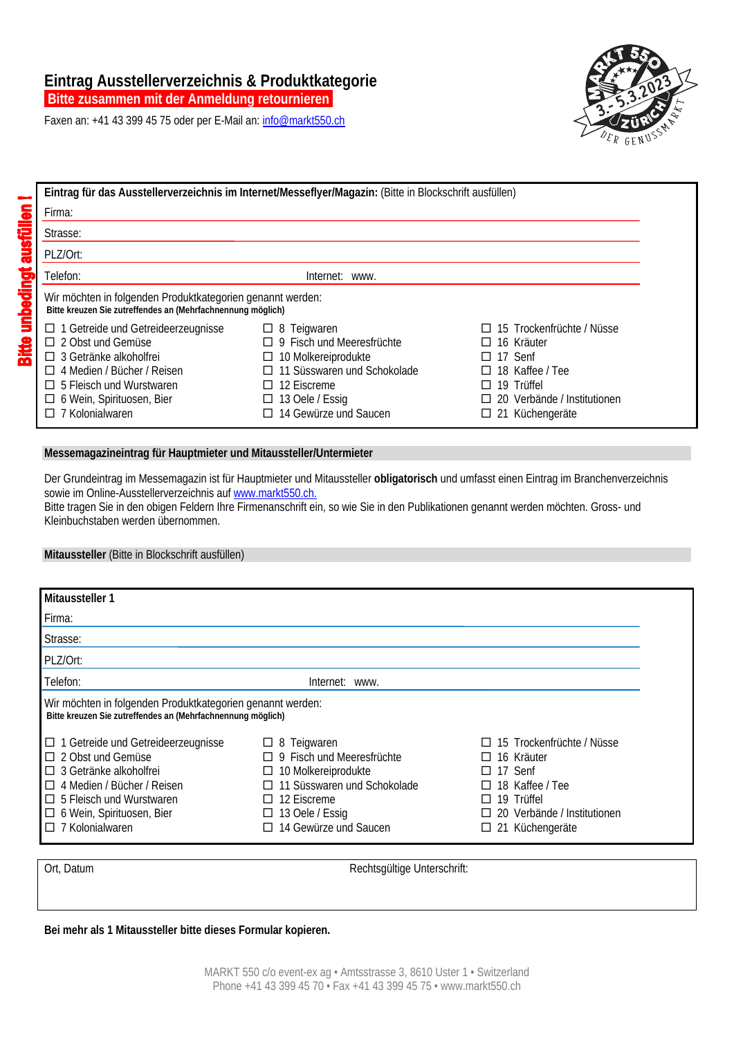# **Eintrag Ausstellerverzeichnis & Produktkategorie**

 **Bitte zusammen mit der Anmeldung retournieren.** 

Faxen an: +41 43 399 45 75 oder per E-Mail an: info@markt550.ch



|                                                                                                                                                                                                                                              | Eintrag für das Ausstellerverzeichnis im Internet/Messeflyer/Magazin: (Bitte in Blockschrift ausfüllen)                                                                                   |                                                                                                                                       |
|----------------------------------------------------------------------------------------------------------------------------------------------------------------------------------------------------------------------------------------------|-------------------------------------------------------------------------------------------------------------------------------------------------------------------------------------------|---------------------------------------------------------------------------------------------------------------------------------------|
| Firma:                                                                                                                                                                                                                                       |                                                                                                                                                                                           |                                                                                                                                       |
| Strasse:                                                                                                                                                                                                                                     |                                                                                                                                                                                           |                                                                                                                                       |
| PLZ/Ort:                                                                                                                                                                                                                                     |                                                                                                                                                                                           |                                                                                                                                       |
| Telefon:                                                                                                                                                                                                                                     | Internet: www.                                                                                                                                                                            |                                                                                                                                       |
| Wir möchten in folgenden Produktkategorien genannt werden:<br>Bitte kreuzen Sie zutreffendes an (Mehrfachnennung möglich)                                                                                                                    |                                                                                                                                                                                           |                                                                                                                                       |
| $\Box$ 1 Getreide und Getreideerzeugnisse<br>$\Box$ 2 Obst und Gemüse<br>$\Box$ 3 Getränke alkoholfrei<br>$\Box$ 4 Medien / Bücher / Reisen<br>$\Box$ 5 Fleisch und Wurstwaren<br>$\Box$ 6 Wein, Spirituosen, Bier<br>$\Box$ 7 Kolonialwaren | $\Box$ 8 Teigwaren<br>$\Box$ 9 Fisch und Meeresfrüchte<br>$\Box$ 10 Molkereiprodukte<br>□ 11 Süsswaren und Schokolade<br>$\Box$ 12 Eiscreme<br>13 Oele / Essig<br>□ 14 Gewürze und Saucen | 15 Trockenfrüchte / Nüsse<br>16 Kräuter<br>17 Senf<br>18 Kaffee / Tee<br>19 Trüffel<br>20 Verbände / Institutionen<br>21 Küchengeräte |

### **Messemagazineintrag für Hauptmieter und Mitaussteller/Untermieter**

Der Grundeintrag im Messemagazin ist für Hauptmieter und Mitaussteller **obligatorisch** und umfasst einen Eintrag im Branchenverzeichnis sowie im Online-Ausstellerverzeichnis auf www.markt550.ch.

Bitte tragen Sie in den obigen Feldern Ihre Firmenanschrift ein, so wie Sie in den Publikationen genannt werden möchten. Gross- und Kleinbuchstaben werden übernommen.

### **Mitaussteller** (Bitte in Blockschrift ausfüllen)

| Mitaussteller 1                                                                                                                                                                                                                            |                                                                                                                                                                                                          |                                                                                                                                            |
|--------------------------------------------------------------------------------------------------------------------------------------------------------------------------------------------------------------------------------------------|----------------------------------------------------------------------------------------------------------------------------------------------------------------------------------------------------------|--------------------------------------------------------------------------------------------------------------------------------------------|
| Firma:                                                                                                                                                                                                                                     |                                                                                                                                                                                                          |                                                                                                                                            |
| Strasse:                                                                                                                                                                                                                                   |                                                                                                                                                                                                          |                                                                                                                                            |
| PLZ/Ort:                                                                                                                                                                                                                                   |                                                                                                                                                                                                          |                                                                                                                                            |
| Telefon:                                                                                                                                                                                                                                   | Internet: www.                                                                                                                                                                                           |                                                                                                                                            |
| Wir möchten in folgenden Produktkategorien genannt werden:<br>Bitte kreuzen Sie zutreffendes an (Mehrfachnennung möglich)                                                                                                                  |                                                                                                                                                                                                          |                                                                                                                                            |
| $\Box$ 1 Getreide und Getreideerzeugnisse<br>$\Box$ 2 Obst und Gemüse<br>$\Box$ 3 Getränke alkoholfrei<br>4 Medien / Bücher / Reisen<br>П<br>$\Box$ 5 Fleisch und Wurstwaren<br>$\Box$ 6 Wein, Spirituosen, Bier<br>$\Box$ 7 Kolonialwaren | $\Box$ 8 Teigwaren<br>$\Box$ 9 Fisch und Meeresfrüchte<br>$\Box$ 10 Molkereiprodukte<br>□ 11 Süsswaren und Schokolade<br>$\Box$ 12 Eiscreme<br>13 Oele / Essig<br>$\Box$<br>$\Box$ 14 Gewürze und Saucen | 15 Trockenfrüchte / Nüsse<br>16 Kräuter<br>17 Senf<br>18 Kaffee / Tee<br>19 Trüffel<br>20 Verbände / Institutionen<br>21 Küchengeräte<br>ப |

**Bitte unbedingt ausfüllen!** 

Ort, Datum **Rechtsgültige Unterschrift:** 

**Bei mehr als 1 Mitaussteller bitte dieses Formular kopieren.**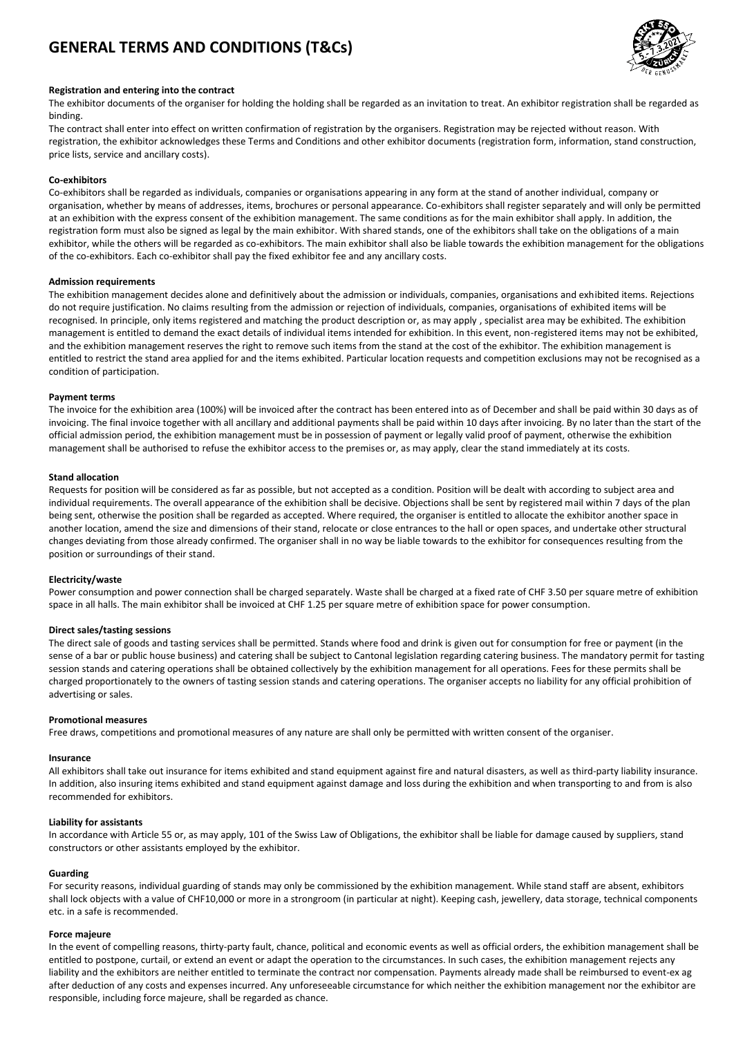# **GENERAL TERMS AND CONDITIONS (T&Cs)**



#### **Registration and entering into the contract**

The exhibitor documents of the organiser for holding the holding shall be regarded as an invitation to treat. An exhibitor registration shall be regarded as binding.

The contract shall enter into effect on written confirmation of registration by the organisers. Registration may be rejected without reason. With registration, the exhibitor acknowledges these Terms and Conditions and other exhibitor documents (registration form, information, stand construction, price lists, service and ancillary costs).

#### **Co-exhibitors**

Co-exhibitors shall be regarded as individuals, companies or organisations appearing in any form at the stand of another individual, company or organisation, whether by means of addresses, items, brochures or personal appearance. Co-exhibitors shall register separately and will only be permitted at an exhibition with the express consent of the exhibition management. The same conditions as for the main exhibitor shall apply. In addition, the registration form must also be signed as legal by the main exhibitor. With shared stands, one of the exhibitors shall take on the obligations of a main exhibitor, while the others will be regarded as co-exhibitors. The main exhibitor shall also be liable towards the exhibition management for the obligations of the co-exhibitors. Each co-exhibitor shall pay the fixed exhibitor fee and any ancillary costs.

#### **Admission requirements**

The exhibition management decides alone and definitively about the admission or individuals, companies, organisations and exhibited items. Rejections do not require justification. No claims resulting from the admission or rejection of individuals, companies, organisations of exhibited items will be recognised. In principle, only items registered and matching the product description or, as may apply , specialist area may be exhibited. The exhibition management is entitled to demand the exact details of individual items intended for exhibition. In this event, non-registered items may not be exhibited, and the exhibition management reserves the right to remove such items from the stand at the cost of the exhibitor. The exhibition management is entitled to restrict the stand area applied for and the items exhibited. Particular location requests and competition exclusions may not be recognised as a condition of participation.

#### **Payment terms**

The invoice for the exhibition area (100%) will be invoiced after the contract has been entered into as of December and shall be paid within 30 days as of invoicing. The final invoice together with all ancillary and additional payments shall be paid within 10 days after invoicing. By no later than the start of the official admission period, the exhibition management must be in possession of payment or legally valid proof of payment, otherwise the exhibition management shall be authorised to refuse the exhibitor access to the premises or, as may apply, clear the stand immediately at its costs.

#### **Stand allocation**

Requests for position will be considered as far as possible, but not accepted as a condition. Position will be dealt with according to subject area and individual requirements. The overall appearance of the exhibition shall be decisive. Objections shall be sent by registered mail within 7 days of the plan being sent, otherwise the position shall be regarded as accepted. Where required, the organiser is entitled to allocate the exhibitor another space in another location, amend the size and dimensions of their stand, relocate or close entrances to the hall or open spaces, and undertake other structural changes deviating from those already confirmed. The organiser shall in no way be liable towards to the exhibitor for consequences resulting from the position or surroundings of their stand.

#### **Electricity/waste**

Power consumption and power connection shall be charged separately. Waste shall be charged at a fixed rate of CHF 3.50 per square metre of exhibition space in all halls. The main exhibitor shall be invoiced at CHF 1.25 per square metre of exhibition space for power consumption.

#### **Direct sales/tasting sessions**

The direct sale of goods and tasting services shall be permitted. Stands where food and drink is given out for consumption for free or payment (in the sense of a bar or public house business) and catering shall be subject to Cantonal legislation regarding catering business. The mandatory permit for tasting session stands and catering operations shall be obtained collectively by the exhibition management for all operations. Fees for these permits shall be charged proportionately to the owners of tasting session stands and catering operations. The organiser accepts no liability for any official prohibition of advertising or sales.

#### **Promotional measures**

Free draws, competitions and promotional measures of any nature are shall only be permitted with written consent of the organiser.

#### **Insurance**

All exhibitors shall take out insurance for items exhibited and stand equipment against fire and natural disasters, as well as third-party liability insurance. In addition, also insuring items exhibited and stand equipment against damage and loss during the exhibition and when transporting to and from is also recommended for exhibitors.

#### **Liability for assistants**

In accordance with Article 55 or, as may apply, 101 of the Swiss Law of Obligations, the exhibitor shall be liable for damage caused by suppliers, stand constructors or other assistants employed by the exhibitor.

#### **Guarding**

For security reasons, individual guarding of stands may only be commissioned by the exhibition management. While stand staff are absent, exhibitors shall lock objects with a value of CHF10,000 or more in a strongroom (in particular at night). Keeping cash, jewellery, data storage, technical components etc. in a safe is recommended.

#### **Force majeure**

In the event of compelling reasons, thirty-party fault, chance, political and economic events as well as official orders, the exhibition management shall be entitled to postpone, curtail, or extend an event or adapt the operation to the circumstances. In such cases, the exhibition management rejects any liability and the exhibitors are neither entitled to terminate the contract nor compensation. Payments already made shall be reimbursed to event-ex ag after deduction of any costs and expenses incurred. Any unforeseeable circumstance for which neither the exhibition management nor the exhibitor are responsible, including force majeure, shall be regarded as chance.